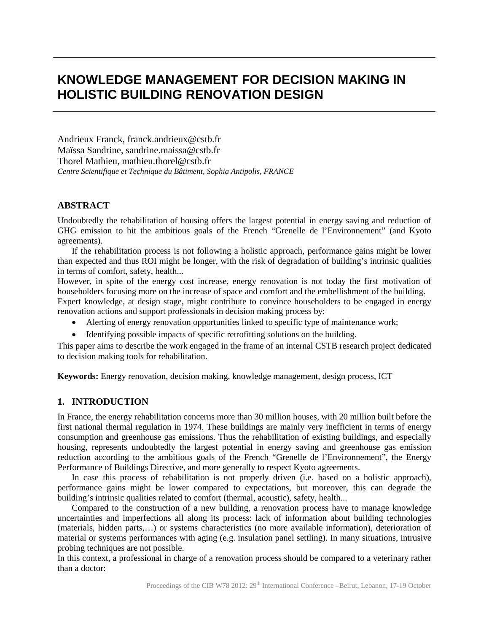# **KNOWLEDGE MANAGEMENT FOR DECISION MAKING IN HOLISTIC BUILDING RENOVATION DESIGN**

Andrieux Franck, franck.andrieux@cstb.fr Maïssa Sandrine, sandrine.maissa@cstb.fr Thorel Mathieu, mathieu.thorel@cstb.fr *Centre Scientifique et Technique du Bâtiment, Sophia Antipolis, FRANCE*

# **ABSTRACT**

Undoubtedly the rehabilitation of housing offers the largest potential in energy saving and reduction of GHG emission to hit the ambitious goals of the French "Grenelle de l'Environnement" (and Kyoto agreements).

If the rehabilitation process is not following a holistic approach, performance gains might be lower than expected and thus ROI might be longer, with the risk of degradation of building's intrinsic qualities in terms of comfort, safety, health...

However, in spite of the energy cost increase, energy renovation is not today the first motivation of householders focusing more on the increase of space and comfort and the embellishment of the building. Expert knowledge, at design stage, might contribute to convince householders to be engaged in energy

renovation actions and support professionals in decision making process by:

- Alerting of energy renovation opportunities linked to specific type of maintenance work;
- Identifying possible impacts of specific retrofitting solutions on the building.

This paper aims to describe the work engaged in the frame of an internal CSTB research project dedicated to decision making tools for rehabilitation.

**Keywords:** Energy renovation, decision making, knowledge management, design process, ICT

# **1. INTRODUCTION**

In France, the energy rehabilitation concerns more than 30 million houses, with 20 million built before the first national thermal regulation in 1974. These buildings are mainly very inefficient in terms of energy consumption and greenhouse gas emissions. Thus the rehabilitation of existing buildings, and especially housing, represents undoubtedly the largest potential in energy saving and greenhouse gas emission reduction according to the ambitious goals of the French "Grenelle de l'Environnement", the Energy Performance of Buildings Directive, and more generally to respect Kyoto agreements.

In case this process of rehabilitation is not properly driven (i.e. based on a holistic approach), performance gains might be lower compared to expectations, but moreover, this can degrade the building's intrinsic qualities related to comfort (thermal, acoustic), safety, health...

Compared to the construction of a new building, a renovation process have to manage knowledge uncertainties and imperfections all along its process: lack of information about building technologies (materials, hidden parts,…) or systems characteristics (no more available information), deterioration of material or systems performances with aging (e.g. insulation panel settling). In many situations, intrusive probing techniques are not possible.

In this context, a professional in charge of a renovation process should be compared to a veterinary rather than a doctor: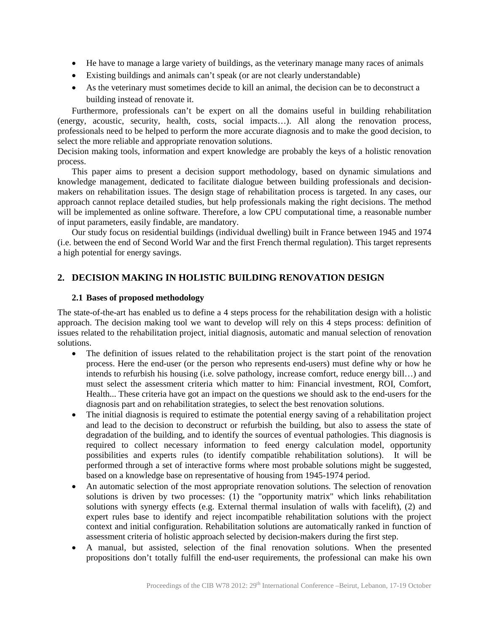- He have to manage a large variety of buildings, as the veterinary manage many races of animals
- Existing buildings and animals can't speak (or are not clearly understandable)
- As the veterinary must sometimes decide to kill an animal, the decision can be to deconstruct a building instead of renovate it.

Furthermore, professionals can't be expert on all the domains useful in building rehabilitation (energy, acoustic, security, health, costs, social impacts…). All along the renovation process, professionals need to be helped to perform the more accurate diagnosis and to make the good decision, to select the more reliable and appropriate renovation solutions.

Decision making tools, information and expert knowledge are probably the keys of a holistic renovation process.

This paper aims to present a decision support methodology, based on dynamic simulations and knowledge management, dedicated to facilitate dialogue between building professionals and decisionmakers on rehabilitation issues. The design stage of rehabilitation process is targeted. In any cases, our approach cannot replace detailed studies, but help professionals making the right decisions. The method will be implemented as online software. Therefore, a low CPU computational time, a reasonable number of input parameters, easily findable, are mandatory.

Our study focus on residential buildings (individual dwelling) built in France between 1945 and 1974 (i.e. between the end of Second World War and the first French thermal regulation). This target represents a high potential for energy savings.

# **2. DECISION MAKING IN HOLISTIC BUILDING RENOVATION DESIGN**

#### **2.1 Bases of proposed methodology**

The state-of-the-art has enabled us to define a 4 steps process for the rehabilitation design with a holistic approach. The decision making tool we want to develop will rely on this 4 steps process: definition of issues related to the rehabilitation project, initial diagnosis, automatic and manual selection of renovation solutions.

- The definition of issues related to the rehabilitation project is the start point of the renovation process. Here the end-user (or the person who represents end-users) must define why or how he intends to refurbish his housing (i.e. solve pathology, increase comfort, reduce energy bill…) and must select the assessment criteria which matter to him: Financial investment, ROI, Comfort, Health... These criteria have got an impact on the questions we should ask to the end-users for the diagnosis part and on rehabilitation strategies, to select the best renovation solutions.
- The initial diagnosis is required to estimate the potential energy saving of a rehabilitation project and lead to the decision to deconstruct or refurbish the building, but also to assess the state of degradation of the building, and to identify the sources of eventual pathologies. This diagnosis is required to collect necessary information to feed energy calculation model, opportunity possibilities and experts rules (to identify compatible rehabilitation solutions). It will be performed through a set of interactive forms where most probable solutions might be suggested, based on a knowledge base on representative of housing from 1945-1974 period.
- An automatic selection of the most appropriate renovation solutions. The selection of renovation solutions is driven by two processes: (1) the "opportunity matrix" which links rehabilitation solutions with synergy effects (e.g. External thermal insulation of walls with facelift), (2) and expert rules base to identify and reject incompatible rehabilitation solutions with the project context and initial configuration. Rehabilitation solutions are automatically ranked in function of assessment criteria of holistic approach selected by decision-makers during the first step.
- x A manual, but assisted, selection of the final renovation solutions. When the presented propositions don't totally fulfill the end-user requirements, the professional can make his own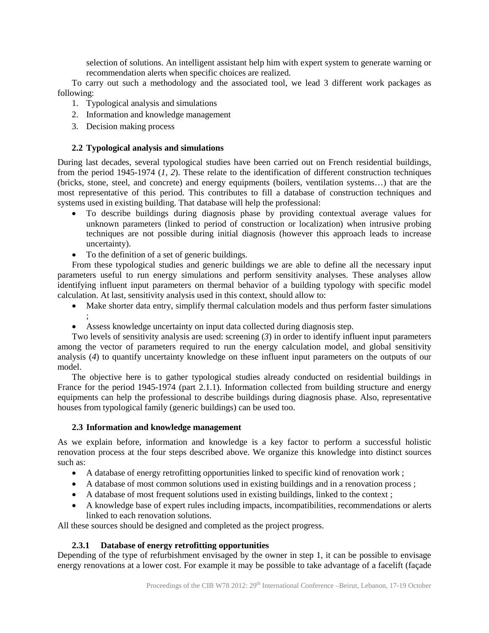selection of solutions. An intelligent assistant help him with expert system to generate warning or recommendation alerts when specific choices are realized.

To carry out such a methodology and the associated tool, we lead 3 different work packages as following:

- 1. Typological analysis and simulations
- 2. Information and knowledge management
- 3. Decision making process

;

# **2.2 Typological analysis and simulations**

During last decades, several typological studies have been carried out on French residential buildings, from the period 1945-1974 (*1, 2*). These relate to the identification of different construction techniques (bricks, stone, steel, and concrete) and energy equipments (boilers, ventilation systems…) that are the most representative of this period. This contributes to fill a database of construction techniques and systems used in existing building. That database will help the professional:

- x To describe buildings during diagnosis phase by providing contextual average values for unknown parameters (linked to period of construction or localization) when intrusive probing techniques are not possible during initial diagnosis (however this approach leads to increase uncertainty).
- To the definition of a set of generic buildings.

From these typological studies and generic buildings we are able to define all the necessary input parameters useful to run energy simulations and perform sensitivity analyses. These analyses allow identifying influent input parameters on thermal behavior of a building typology with specific model calculation. At last, sensitivity analysis used in this context, should allow to:

- Make shorter data entry, simplify thermal calculation models and thus perform faster simulations
- Assess knowledge uncertainty on input data collected during diagnosis step.

Two levels of sensitivity analysis are used: screening (*3*) in order to identify influent input parameters among the vector of parameters required to run the energy calculation model, and global sensitivity analysis (*4*) to quantify uncertainty knowledge on these influent input parameters on the outputs of our model.

The objective here is to gather typological studies already conducted on residential buildings in France for the period 1945-1974 (part 2.1.1). Information collected from building structure and energy equipments can help the professional to describe buildings during diagnosis phase. Also, representative houses from typological family (generic buildings) can be used too.

# **2.3 Information and knowledge management**

As we explain before, information and knowledge is a key factor to perform a successful holistic renovation process at the four steps described above. We organize this knowledge into distinct sources such as:

- A database of energy retrofitting opportunities linked to specific kind of renovation work;
- A database of most common solutions used in existing buildings and in a renovation process;
- $\bullet$  A database of most frequent solutions used in existing buildings, linked to the context;
- A knowledge base of expert rules including impacts, incompatibilities, recommendations or alerts linked to each renovation solutions.

All these sources should be designed and completed as the project progress.

# **2.3.1 Database of energy retrofitting opportunities**

Depending of the type of refurbishment envisaged by the owner in step 1, it can be possible to envisage energy renovations at a lower cost. For example it may be possible to take advantage of a facelift (façade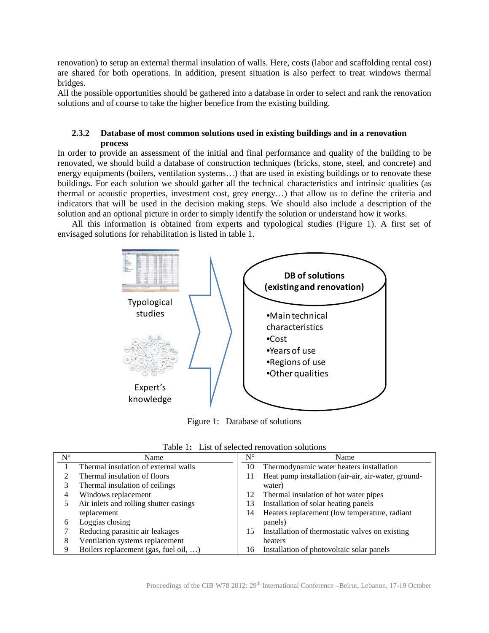renovation) to setup an external thermal insulation of walls. Here, costs (labor and scaffolding rental cost) are shared for both operations. In addition, present situation is also perfect to treat windows thermal bridges.

All the possible opportunities should be gathered into a database in order to select and rank the renovation solutions and of course to take the higher benefice from the existing building.

### **2.3.2 Database of most common solutions used in existing buildings and in a renovation process**

In order to provide an assessment of the initial and final performance and quality of the building to be renovated, we should build a database of construction techniques (bricks, stone, steel, and concrete) and energy equipments (boilers, ventilation systems…) that are used in existing buildings or to renovate these buildings. For each solution we should gather all the technical characteristics and intrinsic qualities (as thermal or acoustic properties, investment cost, grey energy…) that allow us to define the criteria and indicators that will be used in the decision making steps. We should also include a description of the solution and an optional picture in order to simply identify the solution or understand how it works.

All this information is obtained from experts and typological studies (Figure 1). A first set of envisaged solutions for rehabilitation is listed in table 1.



Figure 1: Database of solutions

| $N^{\circ}$ | Name                                   | $N^{\circ}$ | Name                                                |
|-------------|----------------------------------------|-------------|-----------------------------------------------------|
|             | Thermal insulation of external walls   | 10          | Thermodynamic water heaters installation            |
|             | Thermal insulation of floors           | 11          | Heat pump installation (air-air, air-water, ground- |
|             | Thermal insulation of ceilings         |             | water)                                              |
| 4           | Windows replacement                    | 12          | Thermal insulation of hot water pipes               |
|             | Air inlets and rolling shutter casings | 13          | Installation of solar heating panels                |
|             | replacement                            | 14          | Heaters replacement (low temperature, radiant       |
| b           | Loggias closing                        |             | panels)                                             |
|             | Reducing parasitic air leakages        | 15          | Installation of thermostatic valves on existing     |
| 8           | Ventilation systems replacement        |             | heaters                                             |
| Q           | Boilers replacement (gas, fuel oil, )  | 16          | Installation of photovoltaic solar panels           |

Table 1**:** List of selected renovation solutions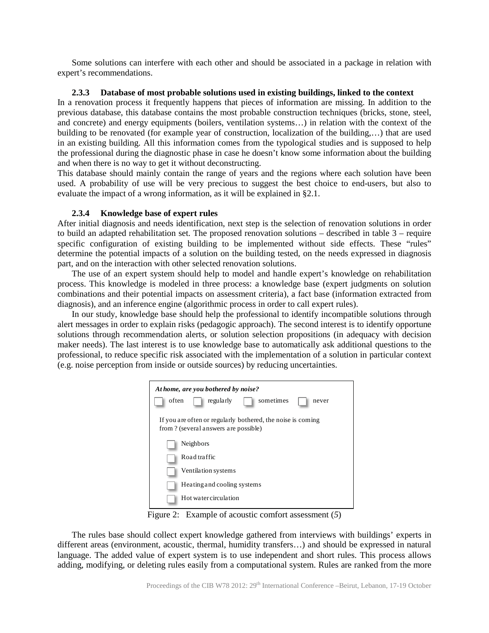Some solutions can interfere with each other and should be associated in a package in relation with expert's recommendations.

#### **2.3.3 Database of most probable solutions used in existing buildings, linked to the context**

In a renovation process it frequently happens that pieces of information are missing. In addition to the previous database, this database contains the most probable construction techniques (bricks, stone, steel, and concrete) and energy equipments (boilers, ventilation systems…) in relation with the context of the building to be renovated (for example year of construction, localization of the building,…) that are used in an existing building. All this information comes from the typological studies and is supposed to help the professional during the diagnostic phase in case he doesn't know some information about the building and when there is no way to get it without deconstructing.

This database should mainly contain the range of years and the regions where each solution have been used. A probability of use will be very precious to suggest the best choice to end-users, but also to evaluate the impact of a wrong information, as it will be explained in §2.1.

#### **2.3.4 Knowledge base of expert rules**

After initial diagnosis and needs identification, next step is the selection of renovation solutions in order to build an adapted rehabilitation set. The proposed renovation solutions – described in table 3 – require specific configuration of existing building to be implemented without side effects. These "rules" determine the potential impacts of a solution on the building tested, on the needs expressed in diagnosis part, and on the interaction with other selected renovation solutions.

The use of an expert system should help to model and handle expert's knowledge on rehabilitation process. This knowledge is modeled in three process: a knowledge base (expert judgments on solution combinations and their potential impacts on assessment criteria), a fact base (information extracted from diagnosis), and an inference engine (algorithmic process in order to call expert rules).

In our study, knowledge base should help the professional to identify incompatible solutions through alert messages in order to explain risks (pedagogic approach). The second interest is to identify opportune solutions through recommendation alerts, or solution selection propositions (in adequacy with decision maker needs). The last interest is to use knowledge base to automatically ask additional questions to the professional, to reduce specific risk associated with the implementation of a solution in particular context (e.g. noise perception from inside or outside sources) by reducing uncertainties.

| At home, are you bothered by noise?                                                                  |  |  |  |  |  |
|------------------------------------------------------------------------------------------------------|--|--|--|--|--|
| sometimes<br>often<br>regularly<br>never                                                             |  |  |  |  |  |
| If you are often or regularly bothered, the noise is coming<br>from ? (several answers are possible) |  |  |  |  |  |
| Neighbors                                                                                            |  |  |  |  |  |
| Road traffic                                                                                         |  |  |  |  |  |
| Ventilation systems                                                                                  |  |  |  |  |  |
| Heating and cooling systems                                                                          |  |  |  |  |  |
| Hot water circulation                                                                                |  |  |  |  |  |

Figure 2: Example of acoustic comfort assessment (*5*)

The rules base should collect expert knowledge gathered from interviews with buildings' experts in different areas (environment, acoustic, thermal, humidity transfers…) and should be expressed in natural language. The added value of expert system is to use independent and short rules. This process allows adding, modifying, or deleting rules easily from a computational system. Rules are ranked from the more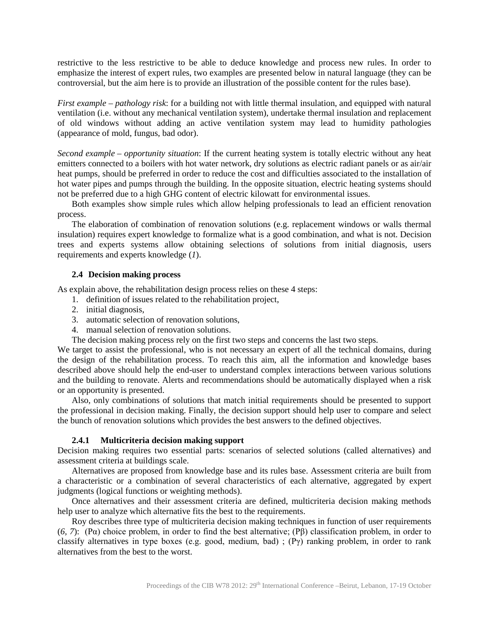restrictive to the less restrictive to be able to deduce knowledge and process new rules. In order to emphasize the interest of expert rules, two examples are presented below in natural language (they can be controversial, but the aim here is to provide an illustration of the possible content for the rules base).

*First example – pathology risk*: for a building not with little thermal insulation, and equipped with natural ventilation (i.e. without any mechanical ventilation system), undertake thermal insulation and replacement of old windows without adding an active ventilation system may lead to humidity pathologies (appearance of mold, fungus, bad odor).

*Second example – opportunity situation*: If the current heating system is totally electric without any heat emitters connected to a boilers with hot water network, dry solutions as electric radiant panels or as air/air heat pumps, should be preferred in order to reduce the cost and difficulties associated to the installation of hot water pipes and pumps through the building. In the opposite situation, electric heating systems should not be preferred due to a high GHG content of electric kilowatt for environmental issues.

Both examples show simple rules which allow helping professionals to lead an efficient renovation process.

The elaboration of combination of renovation solutions (e.g. replacement windows or walls thermal insulation) requires expert knowledge to formalize what is a good combination, and what is not. Decision trees and experts systems allow obtaining selections of solutions from initial diagnosis, users requirements and experts knowledge (*1*).

#### **2.4 Decision making process**

As explain above, the rehabilitation design process relies on these 4 steps:

- 1. definition of issues related to the rehabilitation project,
- 2. initial diagnosis,
- 3. automatic selection of renovation solutions,
- 4. manual selection of renovation solutions.
- The decision making process rely on the first two steps and concerns the last two steps.

We target to assist the professional, who is not necessary an expert of all the technical domains, during the design of the rehabilitation process. To reach this aim, all the information and knowledge bases described above should help the end-user to understand complex interactions between various solutions and the building to renovate. Alerts and recommendations should be automatically displayed when a risk or an opportunity is presented.

Also, only combinations of solutions that match initial requirements should be presented to support the professional in decision making. Finally, the decision support should help user to compare and select the bunch of renovation solutions which provides the best answers to the defined objectives.

#### **2.4.1 Multicriteria decision making support**

Decision making requires two essential parts: scenarios of selected solutions (called alternatives) and assessment criteria at buildings scale.

Alternatives are proposed from knowledge base and its rules base. Assessment criteria are built from a characteristic or a combination of several characteristics of each alternative, aggregated by expert judgments (logical functions or weighting methods).

Once alternatives and their assessment criteria are defined, multicriteria decision making methods help user to analyze which alternative fits the best to the requirements.

Roy describes three type of multicriteria decision making techniques in function of user requirements  $(6, 7)$ :  $(P\alpha)$  choice problem, in order to find the best alternative;  $(P\beta)$  classification problem, in order to classify alternatives in type boxes (e.g. good, medium, bad);  $(P\gamma)$  ranking problem, in order to rank alternatives from the best to the worst.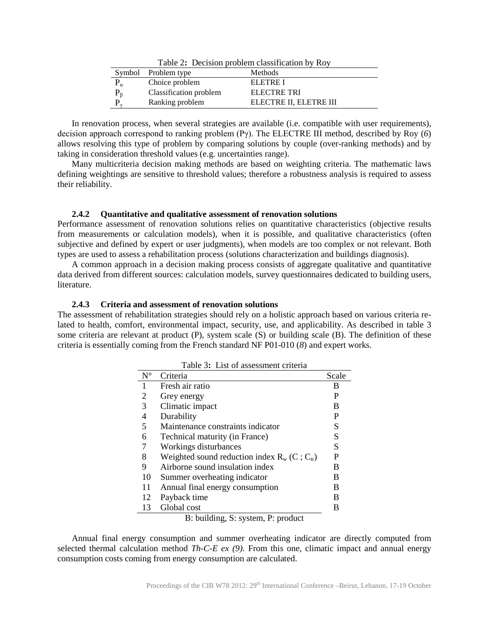| Table 2: Decision problem classification by Roy |                        |                        |  |  |
|-------------------------------------------------|------------------------|------------------------|--|--|
|                                                 | Symbol Problem type    | Methods                |  |  |
|                                                 | Choice problem         | ELETRE I               |  |  |
| $P_{\beta}$                                     | Classification problem | ELECTRE TRI            |  |  |
| P                                               | Ranking problem        | ELECTRE II, ELETRE III |  |  |

In renovation process, when several strategies are available (i.e. compatible with user requirements), decision approach correspond to ranking problem  $(P\gamma)$ . The ELECTRE III method, described by Roy (6) allows resolving this type of problem by comparing solutions by couple (over-ranking methods) and by taking in consideration threshold values (e.g. uncertainties range).

Many multicriteria decision making methods are based on weighting criteria. The mathematic laws defining weightings are sensitive to threshold values; therefore a robustness analysis is required to assess their reliability.

#### **2.4.2 Quantitative and qualitative assessment of renovation solutions**

Performance assessment of renovation solutions relies on quantitative characteristics (objective results from measurements or calculation models), when it is possible, and qualitative characteristics (often subjective and defined by expert or user judgments), when models are too complex or not relevant. Both types are used to assess a rehabilitation process (solutions characterization and buildings diagnosis).

A common approach in a decision making process consists of aggregate qualitative and quantitative data derived from different sources: calculation models, survey questionnaires dedicated to building users, literature.

#### **2.4.3 Criteria and assessment of renovation solutions**

The assessment of rehabilitation strategies should rely on a holistic approach based on various criteria related to health, comfort, environmental impact, security, use, and applicability. As described in table 3 some criteria are relevant at product (P), system scale (S) or building scale (B). The definition of these criteria is essentially coming from the French standard NF P01-010 (*8*) and expert works.

|             | Last of assessment effection                     |       |  |  |  |
|-------------|--------------------------------------------------|-------|--|--|--|
| $N^{\circ}$ | Criteria                                         | Scale |  |  |  |
| 1           | Fresh air ratio                                  | В     |  |  |  |
| 2           | Grey energy                                      | P     |  |  |  |
| 3           | Climatic impact                                  | B     |  |  |  |
| 4           | Durability                                       | P     |  |  |  |
| 5           | Maintenance constraints indicator                | S     |  |  |  |
| 6           | Technical maturity (in France)                   | S     |  |  |  |
|             | Workings disturbances                            | S     |  |  |  |
| 8           | Weighted sound reduction index $R_w$ (C; $C_w$ ) | P     |  |  |  |
| 9           | Airborne sound insulation index                  | в     |  |  |  |
| 10          | Summer overheating indicator                     | B     |  |  |  |
| 11          | Annual final energy consumption                  | B     |  |  |  |
| 12          | Payback time                                     | B     |  |  |  |
| 13          | Global cost                                      | В     |  |  |  |

| Table 3: List of assessment criteria |
|--------------------------------------|
|                                      |

B: building, S: system, P: product

Annual final energy consumption and summer overheating indicator are directly computed from selected thermal calculation method *Th-C-E ex (9)*. From this one, climatic impact and annual energy consumption costs coming from energy consumption are calculated.